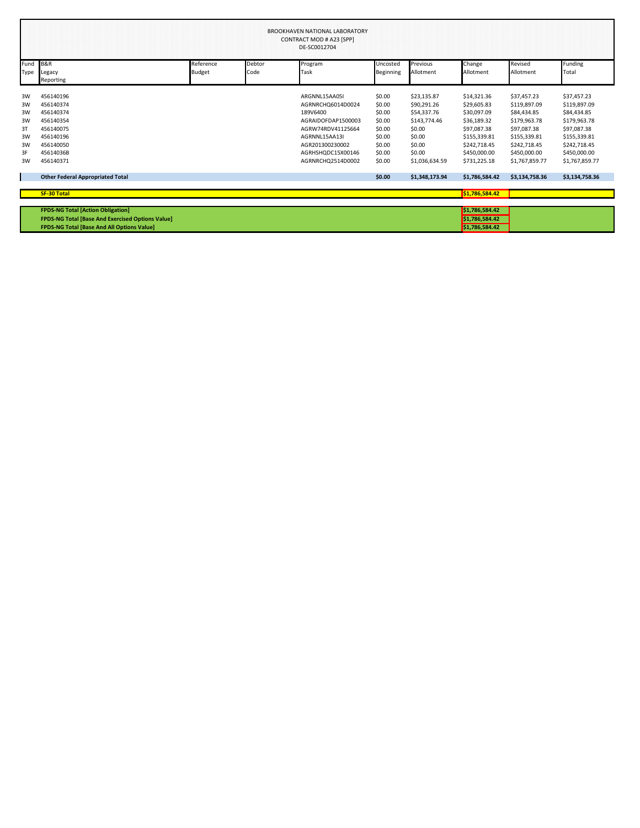| <b>BROOKHAVEN NATIONAL LABORATORY</b><br>CONTRACT MOD # A23 [SPP]<br>DE-SC0012704 |                                                         |           |        |                    |                  |                |                |                |                |
|-----------------------------------------------------------------------------------|---------------------------------------------------------|-----------|--------|--------------------|------------------|----------------|----------------|----------------|----------------|
| Fund                                                                              | <b>B&amp;R</b>                                          | Reference | Debtor | Program            | Uncosted         | Previous       | Change         | Revised        | Funding        |
| Type                                                                              | Legacy                                                  | Budget    | Code   | Task               | <b>Beginning</b> | Allotment      | Allotment      | Allotment      | Total          |
|                                                                                   | Reporting                                               |           |        |                    |                  |                |                |                |                |
| 3W                                                                                | 456140196                                               |           |        | ARGNNL15AA05I      | \$0.00           | \$23,135.87    | \$14,321.36    | \$37,457.23    | \$37,457.23    |
| 3W                                                                                | 456140374                                               |           |        | AGRNRCHQ6014D0024  | \$0.00           | \$90,291.26    | \$29,605.83    | \$119,897.09   | \$119,897.09   |
| 3W                                                                                | 456140374                                               |           |        | 189V6400           | \$0.00           | \$54,337.76    | \$30,097.09    | \$84,434.85    | \$84,434.85    |
| 3W                                                                                | 456140354                                               |           |        | AGRAIDOFDAP1500003 | \$0.00           | \$143,774.46   | \$36,189.32    | \$179,963.78   | \$179,963.78   |
| 3T                                                                                | 456140075                                               |           |        | AGRW74RDV41125664  | \$0.00           | \$0.00         | \$97,087.38    | \$97,087.38    | \$97,087.38    |
| 3W                                                                                | 456140196                                               |           |        | AGRNNL15AA13I      | \$0.00           | \$0.00         | \$155,339.81   | \$155,339.81   | \$155,339.81   |
| 3W                                                                                | 456140050                                               |           |        | AGR201300230002    | \$0.00           | \$0.00         | \$242,718.45   | \$242,718.45   | \$242,718.45   |
| 3F                                                                                | 45614036B                                               |           |        | AGRHSHQDC15X00146  | \$0.00           | \$0.00         | \$450,000.00   | \$450,000.00   | \$450,000.00   |
| 3W                                                                                | 456140371                                               |           |        | AGRNRCHQ2514D0002  | \$0.00           | \$1,036,634.59 | \$731,225.18   | \$1,767,859.77 | \$1,767,859.77 |
|                                                                                   | <b>Other Federal Appropriated Total</b>                 |           |        |                    | \$0.00           | \$1,348,173.94 | \$1,786,584.42 | \$3,134,758.36 | \$3,134,758.36 |
|                                                                                   | SF-30 Total                                             |           |        |                    |                  |                | \$1,786,584.42 |                |                |
|                                                                                   |                                                         |           |        |                    |                  |                |                |                |                |
|                                                                                   | <b>FPDS-NG Total [Action Obligation]</b>                |           |        |                    |                  |                | \$1,786,584.42 |                |                |
|                                                                                   | <b>FPDS-NG Total [Base And Exercised Options Value]</b> |           |        |                    |                  |                | \$1,786,584.42 |                |                |
|                                                                                   | <b>FPDS-NG Total [Base And All Options Value]</b>       |           |        |                    |                  |                | \$1,786,584.42 |                |                |

**FPDS-NG Total [Base And All Options Value] \$1,786,584.42**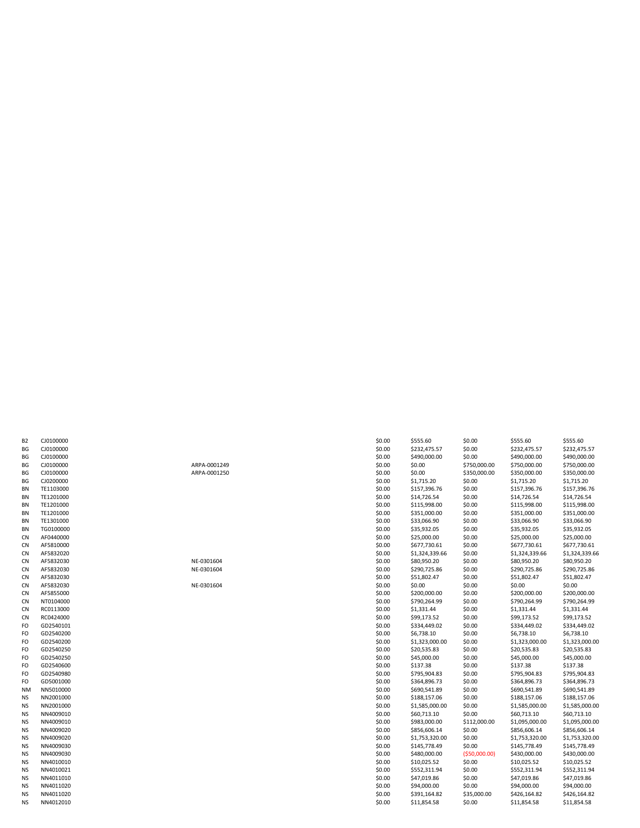| B <sub>2</sub> | CJ0100000            |
|----------------|----------------------|
| BG             | CJ0100000            |
| BG             | J010000C<br>C        |
| BG             | <b>J010000C</b><br>C |
| BG             | CJ0100000            |
| BG             | CJ0200000            |
| <b>BN</b>      | TE1103000            |
| BN             | TE1201000            |
| BN             | TE1201000            |
| BN             | TE1201000            |
| <b>BN</b>      | TE1301000            |
| BN             | TG010000             |
| CN             | AF0440000            |
| CN             | AF5810000            |
| CN             | AF5832020            |
| CN             | AF5832030            |
| CN             | AF5832030            |
| CN             | AF5832030            |
| 'N<br>C        | AF5832030            |
| CN             | AF5855000            |
| CN             | NT010400             |
| ${\sf CN}$     | RC011300             |
| <b>CN</b>      | RC042400             |
| FO             | GD254010             |
| FO             | GD254020             |
| FO             | GD254020             |
| FO             | GD254025             |
| FO             | GD254025             |
| FO             | GD254060             |
| FO             | GD254098             |
| FO             | GD500100             |
| NM             | NN501000             |
| <b>NS</b>      | NN200100             |
| <b>NS</b>      | NN200100             |
| <b>NS</b>      | NN400901             |
| <b>NS</b>      | NN400901             |
| <b>NS</b>      | NN400902             |
| <b>NS</b>      | NN400902             |
| <b>NS</b>      | NN400903             |
| <b>NS</b>      | NN400903             |
| <b>NS</b>      | NN401001             |
| <b>NS</b>      | NN401002             |
| <b>NS</b>      | NN401101             |
| <b>NS</b>      | NN401102             |
| <b>NS</b>      | NN401102             |
| <b>NS</b>      | NN401201             |

| В2 | CJ0100000 |              | \$0.00 | \$555.60       | \$0.00         | \$555.60       | \$555.60       |
|----|-----------|--------------|--------|----------------|----------------|----------------|----------------|
| ВG | CJ0100000 |              | \$0.00 | \$232,475.57   | \$0.00         | \$232,475.57   | \$232,475.57   |
| ВG | CJ0100000 |              | \$0.00 | \$490,000.00   | \$0.00         | \$490,000.00   | \$490,000.00   |
| ВG | CJ0100000 | ARPA-0001249 | \$0.00 | \$0.00         | \$750,000.00   | \$750,000.00   | \$750,000.00   |
| ВG | CJ0100000 | ARPA-0001250 | \$0.00 | \$0.00         | \$350,000.00   | \$350,000.00   | \$350,000.00   |
| ВG | CJ0200000 |              | \$0.00 | \$1,715.20     | \$0.00         | \$1,715.20     | \$1,715.20     |
| ΒN | TE1103000 |              | \$0.00 | \$157,396.76   | \$0.00         | \$157,396.76   | \$157,396.76   |
| ΒN | TE1201000 |              | \$0.00 | \$14,726.54    | \$0.00         | \$14,726.54    | \$14,726.54    |
| ΒN | TE1201000 |              | \$0.00 | \$115,998.00   | \$0.00         | \$115,998.00   | \$115,998.00   |
| ΒN | TE1201000 |              | \$0.00 | \$351,000.00   | \$0.00         | \$351,000.00   | \$351,000.00   |
| ΒN | TE1301000 |              | \$0.00 | \$33,066.90    | \$0.00         | \$33,066.90    | \$33,066.90    |
| ΒN | TG0100000 |              | \$0.00 | \$35,932.05    | \$0.00         | \$35,932.05    | \$35,932.05    |
| CN | AF0440000 |              | \$0.00 | \$25,000.00    | \$0.00         | \$25,000.00    | \$25,000.00    |
| CN | AF5810000 |              | \$0.00 | \$677,730.61   | \$0.00         | \$677,730.61   | \$677,730.61   |
| CN | AF5832020 |              | \$0.00 | \$1,324,339.66 | \$0.00         | \$1,324,339.66 | \$1,324,339.66 |
| CN | AF5832030 | NE-0301604   | \$0.00 | \$80,950.20    | \$0.00         | \$80,950.20    | \$80,950.20    |
| CN | AF5832030 | NE-0301604   | \$0.00 | \$290,725.86   | \$0.00         | \$290,725.86   | \$290,725.86   |
| CN | AF5832030 |              | \$0.00 | \$51,802.47    | \$0.00         | \$51,802.47    | \$51,802.47    |
| CN | AF5832030 | NE-0301604   | \$0.00 | \$0.00         | \$0.00         | \$0.00         | \$0.00         |
| CN | AF5855000 |              | \$0.00 | \$200,000.00   | \$0.00         | \$200,000.00   | \$200,000.00   |
| СN | NT0104000 |              | \$0.00 | \$790,264.99   | \$0.00         | \$790,264.99   | \$790,264.99   |
| CN | RC0113000 |              | \$0.00 | \$1,331.44     | \$0.00         | \$1,331.44     | \$1,331.44     |
| CN | RC0424000 |              | \$0.00 | \$99,173.52    | \$0.00         | \$99,173.52    | \$99,173.52    |
| FO | GD2540101 |              | \$0.00 | \$334,449.02   | \$0.00         | \$334,449.02   | \$334,449.02   |
| FO | GD2540200 |              | \$0.00 | \$6,738.10     | \$0.00         | \$6,738.10     | \$6,738.10     |
| FO | GD2540200 |              | \$0.00 | \$1,323,000.00 | \$0.00         | \$1,323,000.00 | \$1,323,000.00 |
| FO | GD2540250 |              | \$0.00 | \$20,535.83    | \$0.00         | \$20,535.83    | \$20,535.83    |
| FO | GD2540250 |              | \$0.00 | \$45,000.00    | \$0.00         | \$45,000.00    | \$45,000.00    |
| FO | GD2540600 |              | \$0.00 | \$137.38       | \$0.00         | \$137.38       | \$137.38       |
| FO | GD2540980 |              | \$0.00 | \$795,904.83   | \$0.00         | \$795,904.83   | \$795,904.83   |
| FO | GD5001000 |              | \$0.00 | \$364,896.73   | \$0.00         | \$364,896.73   | \$364,896.73   |
| NΜ | NN5010000 |              | \$0.00 | \$690,541.89   | \$0.00         | \$690,541.89   | \$690,541.89   |
| ΝS | NN2001000 |              | \$0.00 | \$188,157.06   | \$0.00         | \$188,157.06   | \$188,157.06   |
| ΝS | NN2001000 |              | \$0.00 | \$1,585,000.00 | \$0.00         | \$1,585,000.00 | \$1,585,000.00 |
| ΝS | NN4009010 |              | \$0.00 | \$60,713.10    | \$0.00         | \$60,713.10    | \$60,713.10    |
| ΝS | NN4009010 |              | \$0.00 | \$983,000.00   | \$112,000.00   | \$1,095,000.00 | \$1,095,000.00 |
| NS | NN4009020 |              | \$0.00 | \$856,606.14   | \$0.00         | \$856,606.14   | \$856,606.14   |
| ΝS | NN4009020 |              | \$0.00 | \$1,753,320.00 | \$0.00         | \$1,753,320.00 | \$1,753,320.00 |
| ΝS | NN4009030 |              | \$0.00 | \$145,778.49   | \$0.00         | \$145,778.49   | \$145,778.49   |
| ΝS | NN4009030 |              | \$0.00 | \$480,000.00   | ( \$50,000.00] | \$430,000.00   | \$430,000.00   |
| ΝS | NN4010010 |              | \$0.00 | \$10,025.52    | \$0.00         | \$10,025.52    | \$10,025.52    |
| ΝS | NN4010021 |              | \$0.00 | \$552,311.94   | \$0.00         | \$552,311.94   | \$552,311.94   |
| ΝS | NN4011010 |              | \$0.00 | \$47,019.86    | \$0.00         | \$47,019.86    | \$47,019.86    |
| ΝS | NN4011020 |              | \$0.00 | \$94,000.00    | \$0.00         | \$94,000.00    | \$94,000.00    |
| ΝS | NN4011020 |              | \$0.00 | \$391,164.82   | \$35,000.00    | \$426,164.82   | \$426,164.82   |
| ΝS | NN4012010 |              | \$0.00 | \$11,854.58    | \$0.00         | \$11,854.58    | \$11,854.58    |
|    |           |              |        |                |                |                |                |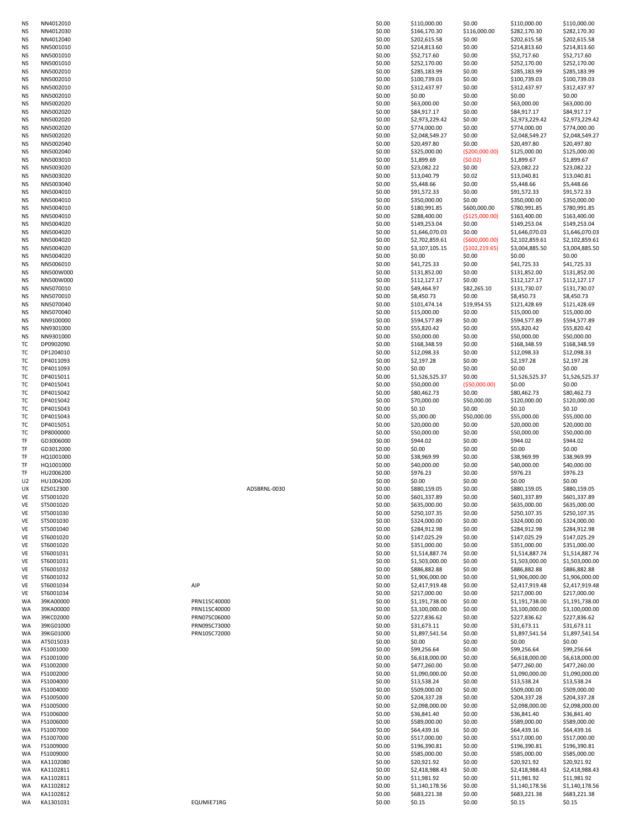| ΝS       | NN4012030              |              |              | \$0.00           | \$166,170.30                   | \$116,000.00    | \$282,170.30                   | \$282,170.30                   |
|----------|------------------------|--------------|--------------|------------------|--------------------------------|-----------------|--------------------------------|--------------------------------|
| ΝS       | NN4012040              |              |              | \$0.00           | \$202,615.58                   | \$0.00          | \$202,615.58                   | \$202,615.58                   |
| ΝS       | NN5001010              |              |              | \$0.00           | \$214,813.60                   | \$0.00          | \$214,813.60                   | \$214,813.60                   |
| ΝS       | NN5001010              |              |              | \$0.00           | \$52,717.60                    | \$0.00          | \$52,717.60                    | \$52,717.60                    |
| ΝS       | NN5001010              |              |              | \$0.00           | \$252,170.00                   | \$0.00          | \$252,170.00                   | \$252,170.00                   |
| ΝS       | NN5002010              |              |              | \$0.00           | \$285,183.99                   | \$0.00          | \$285,183.99                   | \$285,183.99                   |
| ΝS       | NN5002010              |              |              | \$0.00           | \$100,739.03                   | \$0.00          | \$100,739.03                   | \$100,739.03                   |
| ΝS       | NN5002010              |              |              | \$0.00           | \$312,437.97                   | \$0.00          | \$312,437.97                   | \$312,437.97                   |
| ΝS       | NN5002010              |              |              | \$0.00           | \$0.00                         | \$0.00          | \$0.00                         | \$0.00                         |
| ΝS       | NN5002020              |              |              | \$0.00           | \$63,000.00                    | \$0.00          | \$63,000.00                    | \$63,000.00                    |
| ΝS       | NN5002020              |              |              | \$0.00           | \$84,917.17                    | \$0.00          | \$84,917.17                    | \$84,917.17                    |
| ΝS       | NN5002020              |              |              | \$0.00           | \$2,973,229.42                 | \$0.00          | \$2,973,229.42                 | \$2,973,229.42                 |
|          |                        |              |              |                  |                                |                 |                                |                                |
| ΝS       | NN5002020              |              |              | \$0.00           | \$774,000.00                   | \$0.00          | \$774,000.00                   | \$774,000.00                   |
| ΝS       | NN5002020              |              |              | \$0.00           | \$2,048,549.27                 | \$0.00          | \$2,048,549.27                 | \$2,048,549.27                 |
| ΝS       | NN5002040              |              |              | \$0.00           | \$20,497.80                    | \$0.00          | \$20,497.80                    | \$20,497.80                    |
| ΝS       | NN5002040              |              |              | \$0.00           | \$325,000.00                   | ( \$200,000.00) | \$125,000.00                   | \$125,000.00                   |
| ΝS       | NN5003010              |              |              | \$0.00           | \$1,899.69                     | (50.02)         | \$1,899.67                     | \$1,899.67                     |
| ΝS       | NN5003020              |              |              | \$0.00           | \$23,082.22                    | \$0.00          | \$23,082.22                    | \$23,082.22                    |
| ΝS       | NN5003020              |              |              | \$0.00           | \$13,040.79                    | \$0.02          | \$13,040.81                    | \$13,040.81                    |
| ΝS       | NN5003040              |              |              | \$0.00           | \$5,448.66                     | \$0.00          | \$5,448.66                     | \$5,448.66                     |
| ΝS       | NN5004010              |              |              | \$0.00           |                                | \$0.00          | \$91,572.33                    | \$91,572.33                    |
|          |                        |              |              |                  | \$91,572.33                    |                 |                                |                                |
| ΝS       | NN5004010              |              |              | \$0.00           | \$350,000.00                   | \$0.00          | \$350,000.00                   | \$350,000.00                   |
| ΝS       | NN5004010              |              |              | \$0.00           | \$180,991.85                   | \$600,000.00    | \$780,991.85                   | \$780,991.85                   |
| ΝS       | NN5004010              |              |              | \$0.00           | \$288,400.00                   | (\$125,000.00)  | \$163,400.00                   | \$163,400.00                   |
| ΝS       | NN5004020              |              |              | \$0.00           | \$149,253.04                   | \$0.00          | \$149,253.04                   | \$149,253.04                   |
| ΝS       | NN5004020              |              |              | \$0.00           | \$1,646,070.03                 | \$0.00          | \$1,646,070.03                 | \$1,646,070.03                 |
| ΝS       | NN5004020              |              |              | \$0.00           | \$2,702,859.61                 | (5600,000.00)   | \$2,102,859.61                 | \$2,102,859.61                 |
| ΝS       | NN5004020              |              |              | \$0.00           | \$3,107,105.15                 | (5102, 219.65)  | \$3,004,885.50                 | \$3,004,885.50                 |
| ΝS       | NN5004020              |              |              | \$0.00           | \$0.00                         | \$0.00          | \$0.00                         | \$0.00                         |
| ΝS       | NN5006010              |              |              | \$0.00           | \$41,725.33                    | \$0.00          | \$41,725.33                    | \$41,725.33                    |
|          | NN500W000              |              |              | \$0.00           |                                | \$0.00          | \$131,852.00                   |                                |
| ΝS       |                        |              |              |                  | \$131,852.00                   |                 |                                | \$131,852.00                   |
| ΝS       | NN500W000              |              |              | \$0.00           | \$112,127.17                   | \$0.00          | \$112,127.17                   | \$112,127.17                   |
| ΝS       | NN5070010              |              |              | \$0.00           | \$49,464.97                    | \$82,265.10     | \$131,730.07                   | \$131,730.07                   |
| ΝS       | NN5070010              |              |              | \$0.00           | \$8,450.73                     | \$0.00          | \$8,450.73                     | \$8,450.73                     |
| ΝS       | NN5070040              |              |              | \$0.00           | \$101,474.14                   | \$19,954.55     | \$121,428.69                   | \$121,428.69                   |
| ΝS       | NN5070040              |              |              | \$0.00           | \$15,000.00                    | \$0.00          | \$15,000.00                    | \$15,000.00                    |
| ΝS       | NN9100000              |              |              | \$0.00           | \$594,577.89                   | \$0.00          | \$594,577.89                   | \$594,577.89                   |
| ΝS       | NN9301000              |              |              | \$0.00           | \$55,820.42                    | \$0.00          | \$55,820.42                    | \$55,820.42                    |
| ΝS       | NN9301000              |              |              | \$0.00           | \$50,000.00                    | \$0.00          | \$50,000.00                    | \$50,000.00                    |
| тс       | DP0902090              |              |              | \$0.00           | \$168,348.59                   | \$0.00          | \$168,348.59                   | \$168,348.59                   |
|          |                        |              |              |                  |                                |                 |                                |                                |
| тс       | DP1204010              |              |              | \$0.00           | \$12,098.33                    | \$0.00          | \$12,098.33                    | \$12,098.33                    |
| ТC       | DP4011093              |              |              | \$0.00           | \$2,197.28                     | \$0.00          | \$2,197.28                     | \$2,197.28                     |
| тс       | DP4011093              |              |              | \$0.00           | \$0.00                         | \$0.00          | \$0.00                         | \$0.00                         |
| тс       | DP4015011              |              |              | \$0.00           | \$1,526,525.37                 | \$0.00          | \$1,526,525.37                 | \$1,526,525.37                 |
| тс       | DP4015041              |              |              | \$0.00           | \$50,000.00                    | ( \$50,000.00)  | \$0.00                         | \$0.00                         |
| тс       | DP4015042              |              |              | \$0.00           | \$80,462.73                    | \$0.00          | \$80,462.73                    | \$80,462.73                    |
| тс       | DP4015042              |              |              | \$0.00           | \$70,000.00                    | \$50,000.00     | \$120,000.00                   | \$120,000.00                   |
| тс       | DP4015043              |              |              | \$0.00           | \$0.10                         | \$0.00          | \$0.10                         | \$0.10                         |
| ТC       | DP4015043              |              |              | \$0.00           | \$5,000.00                     | \$50,000.00     | \$55,000.00                    | \$55,000.00                    |
|          |                        |              |              |                  |                                |                 |                                |                                |
| тс       | DP4015051              |              |              | \$0.00           | \$20,000.00                    | \$0.00          | \$20,000.00                    | \$20,000.00                    |
| тс       | DP8000000              |              |              | \$0.00           | \$50,000.00                    | \$0.00          | \$50,000.00                    | \$50,000.00                    |
| TF       | GD3006000              |              |              | \$0.00           | \$944.02                       | \$0.00          | \$944.02                       | \$944.02                       |
| TF       | GD3012000              |              |              | \$0.00           | \$0.00                         | \$0.00          | \$0.00                         | \$0.00                         |
| TF       | HQ1001000              |              |              | \$0.00           | \$38,969.99                    | \$0.00          | \$38,969.99                    | \$38,969.99                    |
| TF       | HQ1001000              |              |              | \$0.00           | \$40,000.00                    | \$0.00          | \$40,000.00                    | \$40,000.00                    |
| TF       | HU2006200              |              |              | \$0.00           | \$976.23                       | \$0.00          | \$976.23                       | \$976.23                       |
| U2       | HU1004200              |              |              | \$0.00           | \$0.00                         | \$0.00          | \$0.00                         | \$0.00                         |
| UX       | EZ5012300              |              | ADSBRNL-0030 | \$0.00           | \$880,159.05                   | \$0.00          | \$880,159.05                   | \$880,159.05                   |
| VE       |                        |              |              |                  |                                |                 | \$601,337.89                   | \$601,337.89                   |
| VE       |                        |              |              |                  |                                |                 |                                |                                |
|          | ST5001020              |              |              | \$0.00           | \$601,337.89                   | \$0.00          |                                |                                |
|          | ST5001020              |              |              | \$0.00           | \$635,000.00                   | \$0.00          | \$635,000.00                   | \$635,000.00                   |
| VE       | ST5001030              |              |              | \$0.00           | \$250,107.35                   | \$0.00          | \$250,107.35                   | \$250,107.35                   |
| VE       | ST5001030              |              |              | \$0.00           | \$324,000.00                   | \$0.00          | \$324,000.00                   | \$324,000.00                   |
| VE       | ST5001040              |              |              | \$0.00           | \$284,912.98                   | \$0.00          | \$284,912.98                   | \$284,912.98                   |
| VE       | ST6001020              |              |              | \$0.00           | \$147,025.29                   | \$0.00          | \$147,025.29                   | \$147,025.29                   |
| VE       | ST6001020              |              |              | \$0.00           | \$351,000.00                   | \$0.00          | \$351,000.00                   | \$351,000.00                   |
| VE       | ST6001031              |              |              | \$0.00           |                                | \$0.00          | \$1,514,887.74                 |                                |
|          |                        |              |              |                  | \$1,514,887.74                 |                 |                                | \$1,514,887.74                 |
| VE<br>VE | ST6001031<br>ST6001032 |              |              | \$0.00<br>\$0.00 | \$1,503,000.00<br>\$886,882.88 | \$0.00          | \$1,503,000.00<br>\$886,882.88 | \$1,503,000.00<br>\$886,882.88 |
|          |                        |              |              |                  |                                | \$0.00          |                                |                                |
| VE       | ST6001032              | AIP          |              | \$0.00           | \$1,906,000.00                 | \$0.00          | \$1,906,000.00                 | \$1,906,000.00                 |
| VE       | ST6001034              |              |              | \$0.00           | \$2,417,919.48                 | \$0.00          | \$2,417,919.48                 | \$2,417,919.48                 |
| VE       | ST6001034              |              |              | \$0.00           | \$217,000.00                   | \$0.00          | \$217,000.00                   | \$217,000.00                   |
| WA       | 39KA00000              | PRN11SC40000 |              | \$0.00           | \$1,191,738.00                 | \$0.00          | \$1,191,738.00                 | \$1,191,738.00                 |
| WA       | 39KA00000              | PRN11SC40000 |              | \$0.00           | \$3,100,000.00                 | \$0.00          | \$3,100,000.00                 | \$3,100,000.00                 |
| WA       | 39KC02000              | PRN07SC06000 |              | \$0.00           | \$227,836.62                   | \$0.00          | \$227,836.62                   | \$227,836.62                   |
| WA       | 39KG01000              | PRN09SC73000 |              | \$0.00           | \$31,673.11                    | \$0.00          | \$31,673.11                    | \$31,673.11                    |
| WA       | 39KG01000              | PRN10SC72000 |              | \$0.00           | \$1,897,541.54                 | \$0.00          | \$1,897,541.54                 | \$1,897,541.54                 |
| WA       | AT5015033              |              |              | \$0.00           | \$0.00                         | \$0.00          | \$0.00                         | \$0.00                         |
| WA       | FS1001000              |              |              | \$0.00           | \$99,256.64                    | \$0.00          | \$99,256.64                    | \$99,256.64                    |
| WA       | FS1001000              |              |              | \$0.00           | \$6,618,000.00                 | \$0.00          | \$6,618,000.00                 | \$6,618,000.00                 |
| WA       | FS1002000              |              |              | \$0.00           | \$477,260.00                   | \$0.00          | \$477,260.00                   | \$477,260.00                   |
|          |                        |              |              |                  |                                |                 |                                |                                |
| WA       | FS1002000              |              |              | \$0.00           | \$1,090,000.00                 | \$0.00          | \$1,090,000.00                 | \$1,090,000.00                 |
| WA       | FS1004000              |              |              | \$0.00           | \$13,538.24                    | \$0.00          | \$13,538.24                    | \$13,538.24                    |
| WA       | FS1004000              |              |              | \$0.00           | \$509,000.00                   | \$0.00          | \$509,000.00                   | \$509,000.00                   |
| WA       | FS1005000              |              |              | \$0.00           | \$204,337.28                   | \$0.00          | \$204,337.28                   | \$204,337.28                   |
| WA       | FS1005000              |              |              | \$0.00           | \$2,098,000.00                 | \$0.00          | \$2,098,000.00                 | \$2,098,000.00                 |
| WA       | FS1006000              |              |              | \$0.00           | \$36,841.40                    | \$0.00          | \$36,841.40                    | \$36,841.40                    |
| WA       | FS1006000              |              |              | \$0.00           | \$589,000.00                   | \$0.00          | \$589,000.00                   | \$589,000.00                   |
| WA       | FS1007000              |              |              | \$0.00           | \$64,439.16                    | \$0.00          | \$64,439.16                    | \$64,439.16                    |
| WA       | FS1007000              |              |              | \$0.00           | \$517,000.00                   | \$0.00          | \$517,000.00                   | \$517,000.00                   |
| WA       | FS1009000              |              |              | \$0.00           | \$196,390.81                   | \$0.00          | \$196,390.81                   | \$196,390.81                   |
|          |                        |              |              |                  |                                |                 |                                |                                |
| WA       | FS1009000              |              |              | \$0.00           | \$585,000.00                   | \$0.00          | \$585,000.00                   | \$585,000.00                   |
| WA       | KA1102080              |              |              | \$0.00           | \$20,921.92                    | \$0.00          | \$20,921.92                    | \$20,921.92                    |
| WA       | KA1102811              |              |              | \$0.00           | \$2,418,988.43                 | \$0.00          | \$2,418,988.43                 | \$2,418,988.43                 |
| WA       | KA1102811              |              |              | \$0.00           | \$11,981.92                    | \$0.00          | \$11,981.92                    | \$11,981.92                    |
| WA       | KA1102812              |              |              | \$0.00           | \$1,140,178.56                 | \$0.00          | \$1,140,178.56                 | \$1,140,178.56                 |
| WA       | KA1102812              |              |              | \$0.00           | \$683,221.38                   | \$0.00          | \$683,221.38                   | \$683,221.38                   |
| WA       | KA1301031              | EQUMIE71RG   |              | \$0.00           | \$0.15                         | \$0.00          | \$0.15                         | \$0.15                         |

NS NN4012010 \$0.00 \$110,000.00 \$0.00 \$110,000.00 \$110,000.00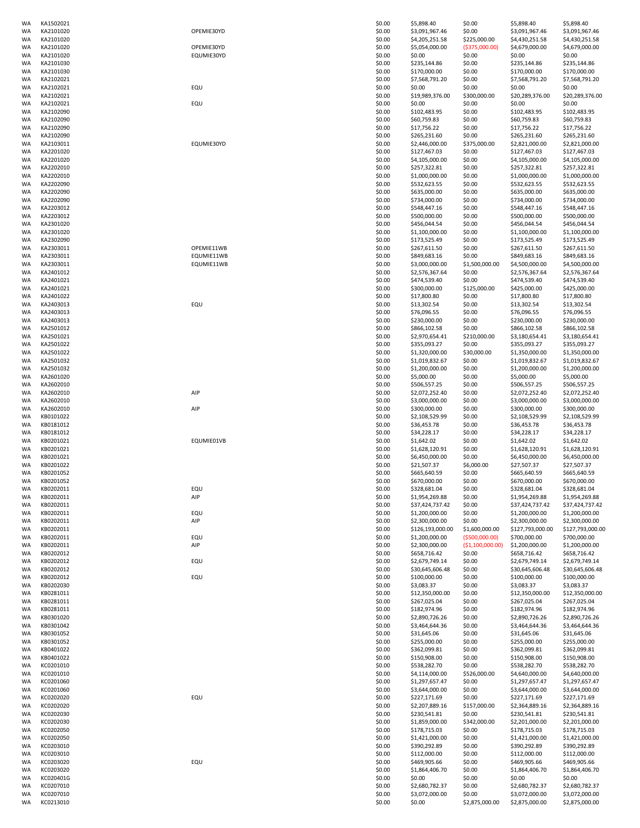| WA | KA1502021              |            | \$0.00           | \$5,898.40               | \$0.00                   | \$5,898.40                       | \$5,898.40                       |
|----|------------------------|------------|------------------|--------------------------|--------------------------|----------------------------------|----------------------------------|
| WA | KA2101020              | OPEMIE30YD | \$0.00           | \$3,091,967.46           | \$0.00                   | \$3,091,967.46                   | \$3,091,967.46                   |
| WA | KA2101020              |            | \$0.00           | \$4,205,251.58           | \$225,000.00             | \$4,430,251.58                   | \$4,430,251.58                   |
| WA | KA2101020              | OPEMIE30YD | \$0.00           | \$5,054,000.00           | ( \$375,000.00)          | \$4,679,000.00                   | \$4,679,000.00                   |
| WA | KA2101020              | EQUMIE30YD | \$0.00           | \$0.00                   | \$0.00                   | \$0.00                           | \$0.00                           |
| WA | KA2101030              |            | \$0.00           | \$235,144.86             | \$0.00                   | \$235,144.86                     | \$235,144.86                     |
| WA | KA2101030              |            | \$0.00           | \$170,000.00             | \$0.00                   | \$170,000.00                     | \$170,000.00                     |
|    |                        |            |                  | \$7,568,791.20           |                          | \$7,568,791.20                   | \$7,568,791.20                   |
| WA | KA2102021              |            | \$0.00           |                          | \$0.00                   |                                  |                                  |
| WA | KA2102021              | EQU        | \$0.00           | \$0.00                   | \$0.00                   | \$0.00                           | \$0.00                           |
| WA | KA2102021              |            | \$0.00           | \$19,989,376.00          | \$300,000.00             | \$20,289,376.00                  | \$20,289,376.00                  |
| WA | KA2102021              | EQU        | \$0.00           | \$0.00                   | \$0.00                   | \$0.00                           | \$0.00                           |
| WA | KA2102090              |            | \$0.00           | \$102,483.95             | \$0.00                   | \$102,483.95                     | \$102,483.95                     |
|    |                        |            |                  |                          |                          |                                  |                                  |
| WA | KA2102090              |            | \$0.00           | \$60,759.83              | \$0.00                   | \$60,759.83                      | \$60,759.83                      |
| WA | KA2102090              |            | \$0.00           | \$17,756.22              | \$0.00                   | \$17,756.22                      | \$17,756.22                      |
| WA | KA2102090              |            | \$0.00           | \$265,231.60             | \$0.00                   | \$265,231.60                     | \$265,231.60                     |
| WA | KA2103011              | EQUMIE30YD | \$0.00           | \$2,446,000.00           | \$375,000.00             | \$2,821,000.00                   | \$2,821,000.00                   |
| WA | KA2201020              |            |                  | \$127,467.03             | \$0.00                   | \$127,467.03                     | \$127,467.03                     |
|    |                        |            | \$0.00           |                          |                          |                                  |                                  |
| WA | KA2201020              |            | \$0.00           | \$4,105,000.00           | \$0.00                   | \$4,105,000.00                   | \$4,105,000.00                   |
| WA | KA2202010              |            | \$0.00           | \$257,322.81             | \$0.00                   | \$257,322.81                     | \$257,322.81                     |
| WA | KA2202010              |            | \$0.00           | \$1,000,000.00           | \$0.00                   | \$1,000,000.00                   | \$1,000,000.00                   |
| WA | KA2202090              |            | \$0.00           | \$532,623.55             | \$0.00                   | \$532,623.55                     | \$532,623.55                     |
|    |                        |            |                  |                          |                          |                                  |                                  |
| WA | KA2202090              |            | \$0.00           | \$635,000.00             | \$0.00                   | \$635,000.00                     | \$635,000.00                     |
| WA | KA2202090              |            | \$0.00           | \$734,000.00             | \$0.00                   | \$734,000.00                     | \$734,000.00                     |
| WA | KA2203012              |            | \$0.00           | \$548,447.16             | \$0.00                   | \$548,447.16                     | \$548,447.16                     |
| WA | KA2203012              |            | \$0.00           | \$500,000.00             | \$0.00                   | \$500,000.00                     | \$500,000.00                     |
|    |                        |            |                  |                          |                          |                                  |                                  |
| WA | KA2301020              |            | \$0.00           | \$456,044.54             | \$0.00                   | \$456,044.54                     | \$456,044.54                     |
| WA | KA2301020              |            | \$0.00           | \$1,100,000.00           | \$0.00                   | \$1,100,000.00                   | \$1,100,000.00                   |
| WA | KA2302090              |            | \$0.00           | \$173,525.49             | \$0.00                   | \$173,525.49                     | \$173,525.49                     |
| WA | KA2303011              | OPEMIE11WB | \$0.00           | \$267,611.50             | \$0.00                   | \$267,611.50                     | \$267,611.50                     |
| WA | KA2303011              | EQUMIE11WB | \$0.00           | \$849,683.16             | \$0.00                   | \$849,683.16                     | \$849,683.16                     |
|    |                        |            |                  |                          |                          |                                  |                                  |
| WA | KA2303011              | EQUMIE11WB | \$0.00           | \$3,000,000.00           | \$1,500,000.00           | \$4,500,000.00                   | \$4,500,000.00                   |
| WA | KA2401012              |            | \$0.00           | \$2,576,367.64           | \$0.00                   | \$2,576,367.64                   | \$2,576,367.64                   |
| WA | KA2401021              |            | \$0.00           | \$474,539.40             | \$0.00                   | \$474,539.40                     | \$474,539.40                     |
| WA | KA2401021              |            | \$0.00           | \$300,000.00             | \$125,000.00             | \$425,000.00                     | \$425,000.00                     |
|    |                        |            |                  |                          |                          |                                  | \$17,800.80                      |
| WA | KA2401022              |            | \$0.00           | \$17,800.80              | \$0.00                   | \$17,800.80                      |                                  |
| WA | KA2403013              | EQU        | \$0.00           | \$13,302.54              | \$0.00                   | \$13,302.54                      | \$13,302.54                      |
| WA | KA2403013              |            | \$0.00           | \$76,096.55              | \$0.00                   | \$76,096.55                      | \$76,096.55                      |
| WA | KA2403013              |            | \$0.00           | \$230,000.00             | \$0.00                   | \$230,000.00                     | \$230,000.00                     |
| WA | KA2501012              |            |                  |                          | \$0.00                   |                                  |                                  |
|    |                        |            | \$0.00           | \$866,102.58             |                          | \$866,102.58                     | \$866,102.58                     |
| WA | KA2501021              |            | \$0.00           | \$2,970,654.41           | \$210,000.00             | \$3,180,654.41                   | \$3,180,654.41                   |
| WA | KA2501022              |            | \$0.00           | \$355,093.27             | \$0.00                   | \$355,093.27                     | \$355,093.27                     |
| WA | KA2501022              |            | \$0.00           | \$1,320,000.00           | \$30,000.00              | \$1,350,000.00                   | \$1,350,000.00                   |
| WA | KA2501032              |            | \$0.00           | \$1,019,832.67           | \$0.00                   | \$1,019,832.67                   | \$1,019,832.67                   |
|    |                        |            |                  |                          |                          |                                  |                                  |
| WA | KA2501032              |            | \$0.00           | \$1,200,000.00           | \$0.00                   | \$1,200,000.00                   | \$1,200,000.00                   |
| WA | KA2601020              |            | \$0.00           | \$5,000.00               | \$0.00                   | \$5,000.00                       | \$5,000.00                       |
| WA | KA2602010              |            | \$0.00           | \$506,557.25             | \$0.00                   | \$506,557.25                     | \$506,557.25                     |
| WA | KA2602010              | AIP        | \$0.00           | \$2,072,252.40           | \$0.00                   | \$2,072,252.40                   | \$2,072,252.40                   |
|    |                        |            |                  |                          |                          |                                  |                                  |
| WA | KA2602010              |            | \$0.00           | \$3,000,000.00           | \$0.00                   | \$3,000,000.00                   | \$3,000,000.00                   |
|    |                        |            |                  |                          |                          |                                  |                                  |
| WA | KA2602010              | AIP        | \$0.00           | \$300,000.00             | \$0.00                   | \$300,000.00                     | \$300,000.00                     |
| WA | KB0101022              |            | \$0.00           | \$2,108,529.99           | \$0.00                   | \$2,108,529.99                   | \$2,108,529.99                   |
| WA |                        |            |                  |                          |                          |                                  |                                  |
|    | KB0181012              |            | \$0.00           | \$36,453.78              | \$0.00                   | \$36,453.78                      | \$36,453.78                      |
| WA | KB0181012              |            | \$0.00           | \$34,228.17              | \$0.00                   | \$34,228.17                      | \$34,228.17                      |
| WA | KB0201021              | EQUMIE01VB | \$0.00           | \$1,642.02               | \$0.00                   | \$1,642.02                       | \$1,642.02                       |
| WA | KB0201021              |            | \$0.00           | \$1,628,120.91           | \$0.00                   | \$1,628,120.91                   | \$1,628,120.91                   |
| WA | KB0201021              |            | \$0.00           | \$6,450,000.00           | \$0.00                   | \$6,450,000.00                   | \$6,450,000.00                   |
|    |                        |            |                  |                          |                          |                                  |                                  |
| WA | KB0201022              |            | \$0.00           | \$21,507.37              | \$6,000.00               | \$27,507.37                      | \$27,507.37                      |
| WA | KB0201052              |            | \$0.00           | \$665,640.59             | \$0.00                   | \$665,640.59                     | \$665,640.59                     |
| WA | KB0201052              |            | \$0.00           | \$670,000.00             | \$0.00                   | \$670,000.00                     | \$670,000.00                     |
| WA | KB0202011              | EQU        | \$0.00           | \$328,681.04             | \$0.00                   | \$328,681.04                     | \$328,681.04                     |
|    | KB0202011              |            |                  |                          |                          |                                  |                                  |
| WA |                        | AIP        | \$0.00           | \$1,954,269.88           | \$0.00                   | \$1,954,269.88                   | \$1,954,269.88                   |
| WA | KB0202011              |            | \$0.00           | \$37,424,737.42          | \$0.00                   | \$37,424,737.42                  | \$37,424,737.42                  |
| WA | KB0202011              | EQU        | \$0.00           | \$1,200,000.00           | \$0.00                   | \$1,200,000.00                   | \$1,200,000.00                   |
| WA | KB0202011              | AIP        | \$0.00           | \$2,300,000.00           | \$0.00                   | \$2,300,000.00                   | \$2,300,000.00                   |
| WA | KB0202011              |            | \$0.00           | \$126,193,000.00         | \$1,600,000.00           | \$127,793,000.00                 | \$127,793,000.00                 |
| WA |                        |            |                  |                          | ( \$500,000.00)          |                                  |                                  |
|    | KB0202011              | EQU        | \$0.00           | \$1,200,000.00           |                          | \$700,000.00                     | \$700,000.00                     |
| WA | KB0202011              | AIP        | \$0.00           | \$2,300,000.00           | ( \$1,100,000.00)        | \$1,200,000.00                   | \$1,200,000.00                   |
| WA | KB0202012              |            | \$0.00           | \$658,716.42             | \$0.00                   | \$658,716.42                     | \$658,716.42                     |
| WA | KB0202012              | EQU        | \$0.00           | \$2,679,749.14           | \$0.00                   | \$2,679,749.14                   | \$2,679,749.14                   |
| WA | KB0202012              |            | \$0.00           | \$30,645,606.48          | \$0.00                   | \$30,645,606.48                  | \$30,645,606.48                  |
| WA | KB0202012              | EQU        | \$0.00           | \$100,000.00             | \$0.00                   | \$100,000.00                     | \$100,000.00                     |
| WA | KB0202030              |            | \$0.00           | \$3,083.37               | \$0.00                   | \$3,083.37                       | \$3,083.37                       |
|    |                        |            |                  |                          |                          |                                  |                                  |
| WA | KB0281011              |            | \$0.00           | \$12,350,000.00          | \$0.00                   | \$12,350,000.00                  | \$12,350,000.00                  |
| WA | KB0281011              |            | \$0.00           | \$267,025.04             | \$0.00                   | \$267,025.04                     | \$267,025.04                     |
| WA | KB0281011              |            | \$0.00           | \$182,974.96             | \$0.00                   | \$182,974.96                     | \$182,974.96                     |
| WA | KB0301020              |            | \$0.00           | \$2,890,726.26           | \$0.00                   | \$2,890,726.26                   | \$2,890,726.26                   |
|    |                        |            |                  |                          |                          |                                  |                                  |
| WA | KB0301042              |            | \$0.00           | \$3,464,644.36           | \$0.00                   | \$3,464,644.36                   | \$3,464,644.36                   |
| WA | KB0301052              |            | \$0.00           | \$31,645.06              | \$0.00                   | \$31,645.06                      | \$31,645.06                      |
| WA | KB0301052              |            | \$0.00           | \$255,000.00             | \$0.00                   | \$255,000.00                     | \$255,000.00                     |
| WA | KB0401022              |            | \$0.00           | \$362,099.81             | \$0.00                   | \$362,099.81                     | \$362,099.81                     |
| WA | KB0401022              |            | \$0.00           | \$150,908.00             | \$0.00                   | \$150,908.00                     | \$150,908.00                     |
|    |                        |            |                  |                          |                          |                                  |                                  |
| WA | KC0201010              |            | \$0.00           | \$538,282.70             | \$0.00                   | \$538,282.70                     | \$538,282.70                     |
| WA | KC0201010              |            | \$0.00           | \$4,114,000.00           | \$526,000.00             | \$4,640,000.00                   | \$4,640,000.00                   |
| WA | KC0201060              |            | \$0.00           | \$1,297,657.47           | \$0.00                   | \$1,297,657.47                   | \$1,297,657.47                   |
| WA | KC0201060              |            | \$0.00           | \$3,644,000.00           | \$0.00                   | \$3,644,000.00                   | \$3,644,000.00                   |
|    |                        |            |                  |                          |                          |                                  |                                  |
| WA | KC0202020              | EQU        | \$0.00           | \$227,171.69             | \$0.00                   | \$227,171.69                     | \$227,171.69                     |
| WA | KC0202020              |            | \$0.00           | \$2,207,889.16           | \$157,000.00             | \$2,364,889.16                   | \$2,364,889.16                   |
| WA | KC0202030              |            | \$0.00           | \$230,541.81             | \$0.00                   | \$230,541.81                     | \$230,541.81                     |
| WA | KC0202030              |            | \$0.00           | \$1,859,000.00           | \$342,000.00             | \$2,201,000.00                   | \$2,201,000.00                   |
|    |                        |            |                  |                          |                          |                                  |                                  |
| WA | KC0202050              |            | \$0.00           | \$178,715.03             | \$0.00                   | \$178,715.03                     | \$178,715.03                     |
| WA | KC0202050              |            | \$0.00           | \$1,421,000.00           | \$0.00                   | \$1,421,000.00                   | \$1,421,000.00                   |
| WA | KC0203010              |            | \$0.00           | \$390,292.89             | \$0.00                   | \$390,292.89                     | \$390,292.89                     |
| WA | KC0203010              |            | \$0.00           | \$112,000.00             | \$0.00                   | \$112,000.00                     | \$112,000.00                     |
| WA | KC0203020              | EQU        | \$0.00           | \$469,905.66             |                          | \$469,905.66                     | \$469,905.66                     |
|    |                        |            |                  |                          | \$0.00                   |                                  |                                  |
| WA | KC0203020              |            | \$0.00           | \$1,864,406.70           | \$0.00                   | \$1,864,406.70                   | \$1,864,406.70                   |
| WA | KC020401G              |            | \$0.00           | \$0.00                   | \$0.00                   | \$0.00                           | \$0.00                           |
| WA | KC0207010              |            | \$0.00           | \$2,680,782.37           | \$0.00                   | \$2,680,782.37                   | \$2,680,782.37                   |
| WA | KC0207010<br>KC0213010 |            | \$0.00<br>\$0.00 | \$3,072,000.00<br>\$0.00 | \$0.00<br>\$2,875,000.00 | \$3,072,000.00<br>\$2,875,000.00 | \$3,072,000.00<br>\$2,875,000.00 |